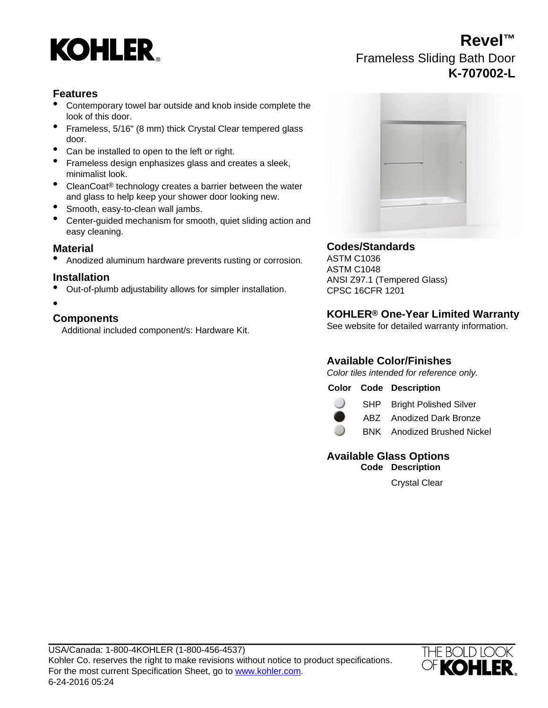

## **Revel™** Frameless Sliding Bath Door **K-707002-L**

## **Features**

- Contemporary towel bar outside and knob inside complete the look of this door.
- Frameless, 5/16" (8 mm) thick Crystal Clear tempered glass door.
- Can be installed to open to the left or right.
- Frameless design enphasizes glass and creates a sleek, minimalist look.
- CleanCoat<sup>®</sup> technology creates a barrier between the water and glass to help keep your shower door looking new.
- Smooth, easy-to-clean wall jambs.
- Center-guided mechanism for smooth, quiet sliding action and easy cleaning.

**Material Codes/Standards** Anodized aluminum hardware prevents rusting or corrosion.

- Out-of-plumb adjustability allows for simpler installation. CPSC 16CFR 1201
- •

Additional included component/s: Hardware Kit.



ASTM C1048 **Installation**<br>ANSI Z97.1 (Tempered Glass)

# **KOHLER® One-Year Limited Warranty Components**

## **Available Color/Finishes**

Color tiles intended for reference only.

|  |  | <b>Color Code Description</b> |
|--|--|-------------------------------|
|--|--|-------------------------------|



SHP Bright Polished Silver

ABZ Anodized Dark Bronze

BNK Anodized Brushed Nickel

## **Available Glass Options Code Description**

Crystal Clear